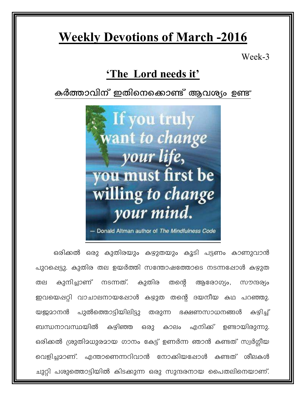# **Weekly Devotions of March -2016**

Week-3

## 'The Lord needs it'

### കർത്താവിന് ഇതിനെക്കൊണ്ട് ആവശ്യം ഉണ്ട്



ഒരിക്കൽ ഒരു കുതിരയും കഴുതയും കൂടി പട്ടണം കാണുവാൻ പുറപ്പെട്ടു. കുതിര തല ഉയർത്തി സന്തോഷത്തോടെ നടന്നപ്പോൾ കഴുത നടന്നത്. കുതിര തന്റെ ആരോഗ്യം, കുനിച്ചാണ് തല സൗന്ദര്യം ഇവയെപ്പറ്റി വാചാലനായപ്പോൾ കഴുത തന്റെ ദയനീയ കഥ പറഞ്ഞു. യജ്ജമാനൻ പുൽത്തൊട്ടിയിലിട്ടു തരുന്ന ഭക്ഷണസാധനങ്ങൾ கழிച് ബന്ധനാവസ്ഥയിൽ കഴിഞ്ഞ കാലം എനിക്ക് ഉണ്ടായിരുന്നു. ഒരു ഒരിക്കൽ ശ്രുതിമധുരമായ ഗാനം കേട്ട് ഉണർന്ന ഞാൻ കണ്ടത് സ്വർഗ്ഗീയ വെളിച്ചമാണ്. എന്താണെന്നറിവാൻ നോക്കിയപ്പോൾ കണ്ടത് ശീലകൾ ചുറ്റി പശുത്തൊട്ടിയിൽ കിടക്കുന്ന ഒരു സുന്ദരനായ പൈതലിനെയാണ്.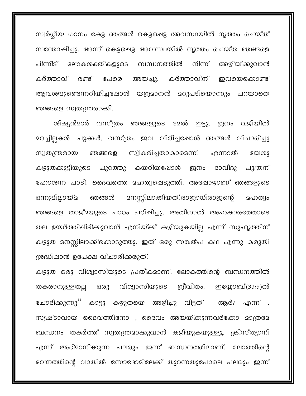സ്വർഗ്ഗീയ ഗാനം കേട്ട ഞങ്ങൾ കെട്ടപ്പെട്ട അവസ്ഥയിൽ നൃത്തം ചെയ്ത് സന്തോഷിച്ചു. അന്ന് കെട്ടപ്പെട്ട അവസ്ഥയിൽ നൃത്തം ചെയ്ത ഞങ്ങളെ പിന്നീട് ലോകശക്തികളുടെ ബന്ധനത്തിൽ നിന്ന് അഴിയ്ക്കുവാൻ അയച്ചു. കർത്താവിന് ഇവയെക്കൊണ്ട് കർത്താവ് രണ്ട് പേരെ ആവശ്യമുണ്ടെന്നറിയിച്ചപ്പോൾ യജ്രമാനൻ മറുപടിയൊന്നും പറയാതെ ഞങ്ങളെ സ്വതന്ത്രരാക്കി.

ശിഷ്യൻമാർ വസ്ത്രം ഞങ്ങളുടെ മേൽ ഇട്ടു. ജനം വഴിയിൽ മരച്ചില്ലകൾ, പൂക്കൾ, വസ്ത്രം ഇവ വിരിച്ചപ്പോൾ ഞങ്ങൾ വിചാരിച്ചു സ്വീകരിച്ചതാകാമെന്ന്. എന്നാൽ സ്വതന്ത്രരായ ഞങ്ങളെ യേശു കഴുതക്കുട്ടിയുടെ പുറത്തു കയറിയപ്പോൾ ദാവീദു ജനം പുത്രന് ഹോശന്ന പാടി, ദൈവത്തെ മഹത്വപ്പെടുത്തി. അഷോഴാണ് ഞങ്ങളുടെ <u>ാനസ്സിലാക്കിയത്.രാജാധിരാജന്റെ</u> ഒന്നുമില്ലായ് 2 ഞങ്ങൾ 2ഹത്വം ഞങ്ങളെ താഴ്മയുടെ പാഠം പഠിപ്പിച്ചു. അതിനാൽ അഹങ്കാരത്തോടെ തല ഉയർത്തിപ്പിടിക്കുവാൻ എനിയ്ക്ക് കഴിയുകയില്ല എന്ന് സുഹൃത്തിന് കഴുത മനസ്സിലാക്കിക്കൊടുത്തു. ഇത് ഒരു സങ്കൽപ കഥ എന്നു കരുതി ശ്രദ്ധിപ്പാൻ ഉപേക്ഷ വിചാരിക്കരുത്.

കഴുത ഒരു വിശ്വാസിയുടെ പ്രതീകമാണ്. ലോകത്തിന്റെ ബന്ധനത്തിൽ വിശ്വാസിയുടെ ജീവിതം. ഇയ്യോബ്(39:5)ൽ തകരാനുള്ളതല്ല ഒരു ചോദിക്കുന്നു'' കാട്ടു കഴുതയെ അഴിച്ചു വിട്ടത് ആർ? എന്ന് . സ്യഷ്ടാവായ ദൈവത്തിനോ , ദൈവം അയയ്ക്കുന്നവർക്കോ മാത്രമേ ബന്ധനം തകർത്ത് സ്വതന്ത്രമാക്കുവാൻ കഴിയുകയുള്ളൂ. ക്രിസ്ത്യാനി എന്ന് അഭിമാനിക്കുന്ന പലരും ഇന്ന് ബന്ധനത്തിലാണ്. ലോത്തിന്റെ ഭവനത്തിന്റെ വാതിൽ സോദോമിലേക്ക് തുറന്നതുപോലെ പലരും ഇന്ന്